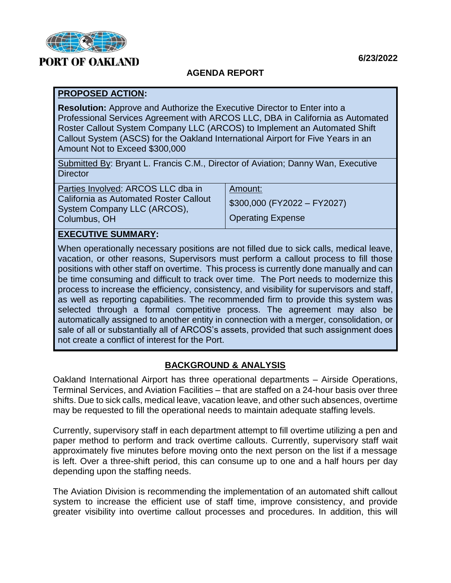

# **PORT OF OAKLAND**

#### **6/23/2022**

## **AGENDA REPORT**

#### **PROPOSED ACTION:**

**Resolution:** Approve and Authorize the Executive Director to Enter into a Professional Services Agreement with ARCOS LLC, DBA in California as Automated Roster Callout System Company LLC (ARCOS) to Implement an Automated Shift Callout System (ASCS) for the Oakland International Airport for Five Years in an Amount Not to Exceed \$300,000

Submitted By: Bryant L. Francis C.M., Director of Aviation; Danny Wan, Executive **Director** 

| Parties Involved: ARCOS LLC dba in                                    | Amount:                      |
|-----------------------------------------------------------------------|------------------------------|
| California as Automated Roster Callout<br>System Company LLC (ARCOS), | $$300,000$ (FY2022 - FY2027) |
|                                                                       |                              |
| Columbus, OH                                                          | <b>Operating Expense</b>     |
|                                                                       |                              |

## **EXECUTIVE SUMMARY:**

When operationally necessary positions are not filled due to sick calls, medical leave, vacation, or other reasons, Supervisors must perform a callout process to fill those positions with other staff on overtime. This process is currently done manually and can be time consuming and difficult to track over time. The Port needs to modernize this process to increase the efficiency, consistency, and visibility for supervisors and staff, as well as reporting capabilities. The recommended firm to provide this system was selected through a formal competitive process. The agreement may also be automatically assigned to another entity in connection with a merger, consolidation, or sale of all or substantially all of ARCOS's assets, provided that such assignment does not create a conflict of interest for the Port.

### **BACKGROUND & ANALYSIS**

Oakland International Airport has three operational departments – Airside Operations, Terminal Services, and Aviation Facilities – that are staffed on a 24-hour basis over three shifts. Due to sick calls, medical leave, vacation leave, and other such absences, overtime may be requested to fill the operational needs to maintain adequate staffing levels.

Currently, supervisory staff in each department attempt to fill overtime utilizing a pen and paper method to perform and track overtime callouts. Currently, supervisory staff wait approximately five minutes before moving onto the next person on the list if a message is left. Over a three-shift period, this can consume up to one and a half hours per day depending upon the staffing needs.

The Aviation Division is recommending the implementation of an automated shift callout system to increase the efficient use of staff time, improve consistency, and provide greater visibility into overtime callout processes and procedures. In addition, this will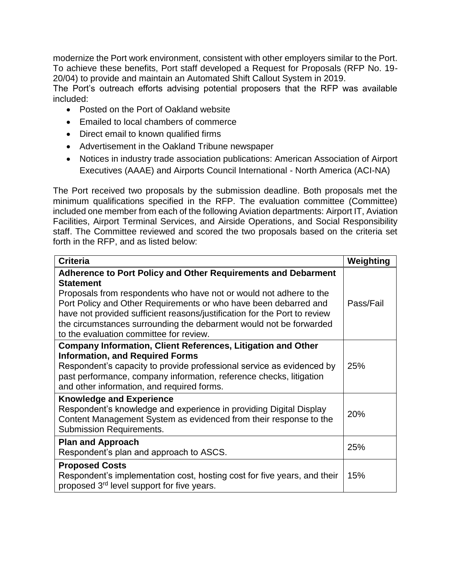modernize the Port work environment, consistent with other employers similar to the Port. To achieve these benefits, Port staff developed a Request for Proposals (RFP No. 19- 20/04) to provide and maintain an Automated Shift Callout System in 2019.

The Port's outreach efforts advising potential proposers that the RFP was available included:

- Posted on the Port of Oakland website
- **Emailed to local chambers of commerce**
- Direct email to known qualified firms
- Advertisement in the Oakland Tribune newspaper
- Notices in industry trade association publications: American Association of Airport Executives (AAAE) and Airports Council International - North America (ACI-NA)

The Port received two proposals by the submission deadline. Both proposals met the minimum qualifications specified in the RFP. The evaluation committee (Committee) included one member from each of the following Aviation departments: Airport IT, Aviation Facilities, Airport Terminal Services, and Airside Operations, and Social Responsibility staff. The Committee reviewed and scored the two proposals based on the criteria set forth in the RFP, and as listed below:

| <b>Criteria</b>                                                                                                                                                                                                                                                                                                                                                                                                                  | Weighting |
|----------------------------------------------------------------------------------------------------------------------------------------------------------------------------------------------------------------------------------------------------------------------------------------------------------------------------------------------------------------------------------------------------------------------------------|-----------|
| <b>Adherence to Port Policy and Other Requirements and Debarment</b><br><b>Statement</b><br>Proposals from respondents who have not or would not adhere to the<br>Port Policy and Other Requirements or who have been debarred and<br>have not provided sufficient reasons/justification for the Port to review<br>the circumstances surrounding the debarment would not be forwarded<br>to the evaluation committee for review. | Pass/Fail |
| <b>Company Information, Client References, Litigation and Other</b><br><b>Information, and Required Forms</b><br>Respondent's capacity to provide professional service as evidenced by<br>past performance, company information, reference checks, litigation<br>and other information, and required forms.                                                                                                                      | 25%       |
| <b>Knowledge and Experience</b><br>Respondent's knowledge and experience in providing Digital Display<br>Content Management System as evidenced from their response to the<br><b>Submission Requirements.</b>                                                                                                                                                                                                                    | 20%       |
| <b>Plan and Approach</b><br>Respondent's plan and approach to ASCS.                                                                                                                                                                                                                                                                                                                                                              | 25%       |
| <b>Proposed Costs</b><br>Respondent's implementation cost, hosting cost for five years, and their<br>proposed 3 <sup>rd</sup> level support for five years.                                                                                                                                                                                                                                                                      | 15%       |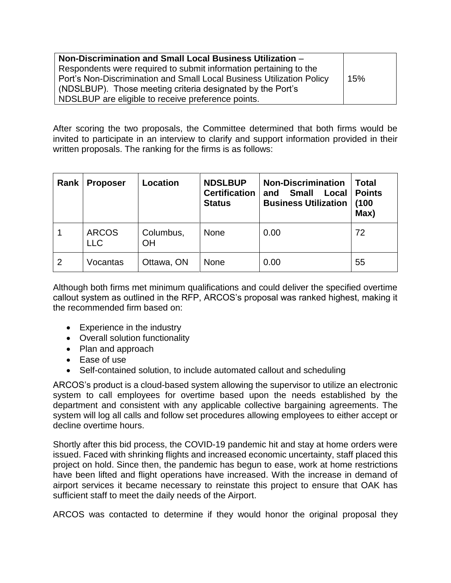| Non-Discrimination and Small Local Business Utilization -             |     |
|-----------------------------------------------------------------------|-----|
| Respondents were required to submit information pertaining to the     |     |
| Port's Non-Discrimination and Small Local Business Utilization Policy | 15% |
| (NDSLBUP). Those meeting criteria designated by the Port's            |     |
| NDSLBUP are eligible to receive preference points.                    |     |

After scoring the two proposals, the Committee determined that both firms would be invited to participate in an interview to clarify and support information provided in their written proposals. The ranking for the firms is as follows:

| Rank           | <b>Proposer</b>            | Location        | <b>NDSLBUP</b><br><b>Certification</b><br><b>Status</b> | <b>Non-Discrimination</b><br><b>Small</b><br>Local<br>and<br><b>Business Utilization</b> | <b>Total</b><br><b>Points</b><br>(100<br>Max) |
|----------------|----------------------------|-----------------|---------------------------------------------------------|------------------------------------------------------------------------------------------|-----------------------------------------------|
|                | <b>ARCOS</b><br><b>LLC</b> | Columbus,<br>OH | <b>None</b>                                             | 0.00                                                                                     | 72                                            |
| $\overline{2}$ | Vocantas                   | Ottawa, ON      | <b>None</b>                                             | 0.00                                                                                     | 55                                            |

Although both firms met minimum qualifications and could deliver the specified overtime callout system as outlined in the RFP, ARCOS's proposal was ranked highest, making it the recommended firm based on:

- Experience in the industry
- Overall solution functionality
- Plan and approach
- Ease of use
- Self-contained solution, to include automated callout and scheduling

ARCOS's product is a cloud-based system allowing the supervisor to utilize an electronic system to call employees for overtime based upon the needs established by the department and consistent with any applicable collective bargaining agreements. The system will log all calls and follow set procedures allowing employees to either accept or decline overtime hours.

Shortly after this bid process, the COVID-19 pandemic hit and stay at home orders were issued. Faced with shrinking flights and increased economic uncertainty, staff placed this project on hold. Since then, the pandemic has begun to ease, work at home restrictions have been lifted and flight operations have increased. With the increase in demand of airport services it became necessary to reinstate this project to ensure that OAK has sufficient staff to meet the daily needs of the Airport.

ARCOS was contacted to determine if they would honor the original proposal they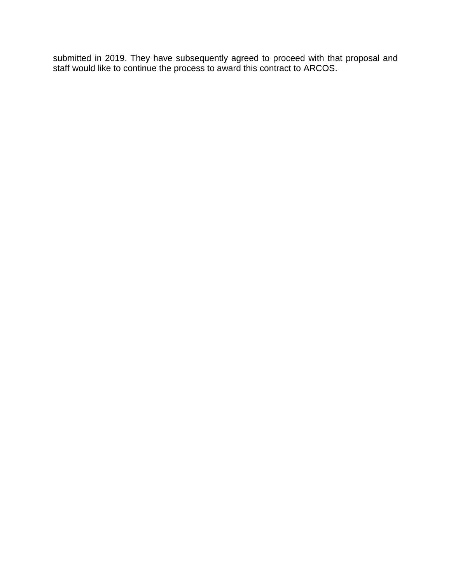submitted in 2019. They have subsequently agreed to proceed with that proposal and staff would like to continue the process to award this contract to ARCOS.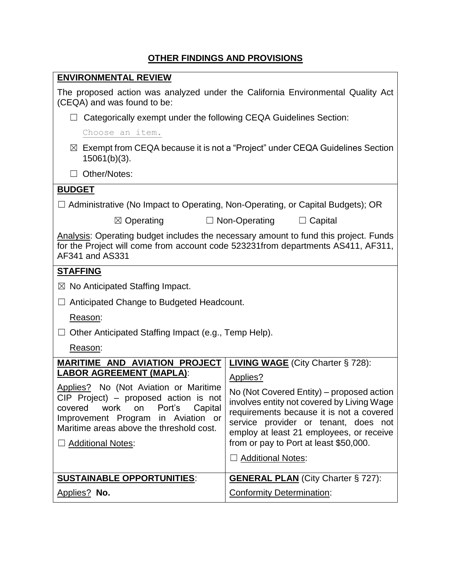## **OTHER FINDINGS AND PROVISIONS**

| <b>ENVIRONMENTAL REVIEW</b>                                                                                                                                                                                                                                                                                      |                                                                                                                                                                                                                                                                                                                                                       |  |  |
|------------------------------------------------------------------------------------------------------------------------------------------------------------------------------------------------------------------------------------------------------------------------------------------------------------------|-------------------------------------------------------------------------------------------------------------------------------------------------------------------------------------------------------------------------------------------------------------------------------------------------------------------------------------------------------|--|--|
| The proposed action was analyzed under the California Environmental Quality Act<br>(CEQA) and was found to be:                                                                                                                                                                                                   |                                                                                                                                                                                                                                                                                                                                                       |  |  |
| Categorically exempt under the following CEQA Guidelines Section:<br>ш                                                                                                                                                                                                                                           |                                                                                                                                                                                                                                                                                                                                                       |  |  |
| Choose an item.                                                                                                                                                                                                                                                                                                  |                                                                                                                                                                                                                                                                                                                                                       |  |  |
| $\boxtimes$ Exempt from CEQA because it is not a "Project" under CEQA Guidelines Section<br>$15061(b)(3)$ .                                                                                                                                                                                                      |                                                                                                                                                                                                                                                                                                                                                       |  |  |
| Other/Notes:<br>$\Box$                                                                                                                                                                                                                                                                                           |                                                                                                                                                                                                                                                                                                                                                       |  |  |
| <b>BUDGET</b>                                                                                                                                                                                                                                                                                                    |                                                                                                                                                                                                                                                                                                                                                       |  |  |
| $\Box$ Administrative (No Impact to Operating, Non-Operating, or Capital Budgets); OR                                                                                                                                                                                                                            |                                                                                                                                                                                                                                                                                                                                                       |  |  |
| $\boxtimes$ Operating                                                                                                                                                                                                                                                                                            | $\Box$ Non-Operating<br>$\Box$ Capital                                                                                                                                                                                                                                                                                                                |  |  |
| Analysis: Operating budget includes the necessary amount to fund this project. Funds<br>for the Project will come from account code 523231from departments AS411, AF311,<br>AF341 and AS331                                                                                                                      |                                                                                                                                                                                                                                                                                                                                                       |  |  |
| <b>STAFFING</b>                                                                                                                                                                                                                                                                                                  |                                                                                                                                                                                                                                                                                                                                                       |  |  |
| $\boxtimes$ No Anticipated Staffing Impact.                                                                                                                                                                                                                                                                      |                                                                                                                                                                                                                                                                                                                                                       |  |  |
| Anticipated Change to Budgeted Headcount.                                                                                                                                                                                                                                                                        |                                                                                                                                                                                                                                                                                                                                                       |  |  |
| Reason:                                                                                                                                                                                                                                                                                                          |                                                                                                                                                                                                                                                                                                                                                       |  |  |
| Other Anticipated Staffing Impact (e.g., Temp Help).                                                                                                                                                                                                                                                             |                                                                                                                                                                                                                                                                                                                                                       |  |  |
| Reason:                                                                                                                                                                                                                                                                                                          |                                                                                                                                                                                                                                                                                                                                                       |  |  |
| <b>MARITIME AND AVIATION PROJECT</b><br><b>LABOR AGREEMENT (MAPLA):</b><br>Applies? No (Not Aviation or Maritime<br>CIP Project) - proposed action is not<br>Port's<br>Capital<br>work<br>covered<br>on<br>Improvement Program in Aviation or<br>Maritime areas above the threshold cost.<br>□ Additional Notes: | <b>LIVING WAGE</b> (City Charter § 728):<br>Applies?<br>No (Not Covered Entity) - proposed action<br>involves entity not covered by Living Wage<br>requirements because it is not a covered<br>service provider or tenant, does not<br>employ at least 21 employees, or receive<br>from or pay to Port at least \$50,000.<br>$\Box$ Additional Notes: |  |  |
| <b>SUSTAINABLE OPPORTUNITIES:</b>                                                                                                                                                                                                                                                                                | <b>GENERAL PLAN</b> (City Charter § 727):                                                                                                                                                                                                                                                                                                             |  |  |
| Applies? No.                                                                                                                                                                                                                                                                                                     | <b>Conformity Determination:</b>                                                                                                                                                                                                                                                                                                                      |  |  |